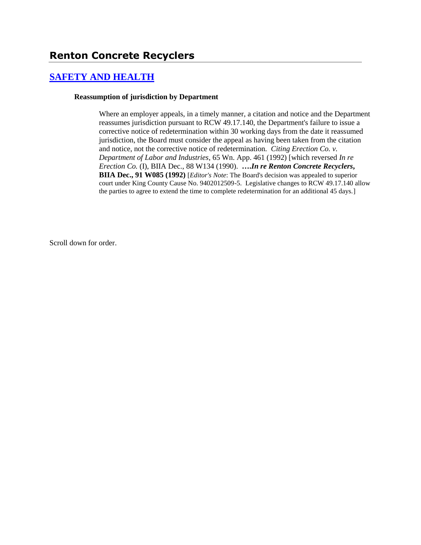# **[SAFETY AND HEALTH](http://www.biia.wa.gov/SDSubjectIndex.html#SAFETY_AND_HEALTH)**

#### **Reassumption of jurisdiction by Department**

Where an employer appeals, in a timely manner, a citation and notice and the Department reassumes jurisdiction pursuant to RCW 49.17.140, the Department's failure to issue a corrective notice of redetermination within 30 working days from the date it reassumed jurisdiction, the Board must consider the appeal as having been taken from the citation and notice, not the corrective notice of redetermination. *Citing Erection Co. v. Department of Labor and Industries*, 65 Wn. App. 461 (1992) [which reversed *In re Erection Co.* (I), BIIA Dec., 88 W134 (1990). **….***In re Renton Concrete Recyclers***, BIIA Dec., 91 W085 (1992)** [*Editor's Note*: The Board's decision was appealed to superior court under King County Cause No. 9402012509-5. Legislative changes to RCW 49.17.140 allow the parties to agree to extend the time to complete redetermination for an additional 45 days.]

Scroll down for order.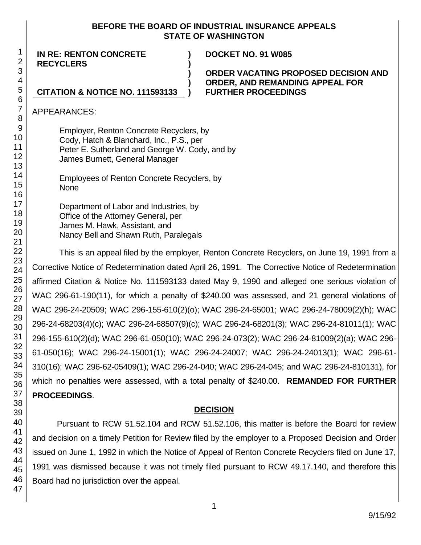### **BEFORE THE BOARD OF INDUSTRIAL INSURANCE APPEALS STATE OF WASHINGTON**

**) ) ) ) )**

**IN RE: RENTON CONCRETE RECYCLERS**

**CITATION & NOTICE NO. 111593133**

**DOCKET NO. 91 W085**

**ORDER VACATING PROPOSED DECISION AND ORDER, AND REMANDING APPEAL FOR FURTHER PROCEEDINGS**

APPEARANCES:

Employer, Renton Concrete Recyclers, by Cody, Hatch & Blanchard, Inc., P.S., per Peter E. Sutherland and George W. Cody, and by James Burnett, General Manager

Employees of Renton Concrete Recyclers, by None

Department of Labor and Industries, by Office of the Attorney General, per James M. Hawk, Assistant, and Nancy Bell and Shawn Ruth, Paralegals

This is an appeal filed by the employer, Renton Concrete Recyclers, on June 19, 1991 from a Corrective Notice of Redetermination dated April 26, 1991. The Corrective Notice of Redetermination affirmed Citation & Notice No. 111593133 dated May 9, 1990 and alleged one serious violation of WAC 296-61-190(11), for which a penalty of \$240.00 was assessed, and 21 general violations of WAC 296-24-20509; WAC 296-155-610(2)(o); WAC 296-24-65001; WAC 296-24-78009(2)(h); WAC 296-24-68203(4)(c); WAC 296-24-68507(9)(c); WAC 296-24-68201(3); WAC 296-24-81011(1); WAC 296-155-610(2)(d); WAC 296-61-050(10); WAC 296-24-073(2); WAC 296-24-81009(2)(a); WAC 296- 61-050(16); WAC 296-24-15001(1); WAC 296-24-24007; WAC 296-24-24013(1); WAC 296-61- 310(16); WAC 296-62-05409(1); WAC 296-24-040; WAC 296-24-045; and WAC 296-24-810131), for which no penalties were assessed, with a total penalty of \$240.00. **REMANDED FOR FURTHER PROCEEDINGS**.

## **DECISION**

Pursuant to RCW 51.52.104 and RCW 51.52.106, this matter is before the Board for review and decision on a timely Petition for Review filed by the employer to a Proposed Decision and Order issued on June 1, 1992 in which the Notice of Appeal of Renton Concrete Recyclers filed on June 17, 1991 was dismissed because it was not timely filed pursuant to RCW 49.17.140, and therefore this Board had no jurisdiction over the appeal.

1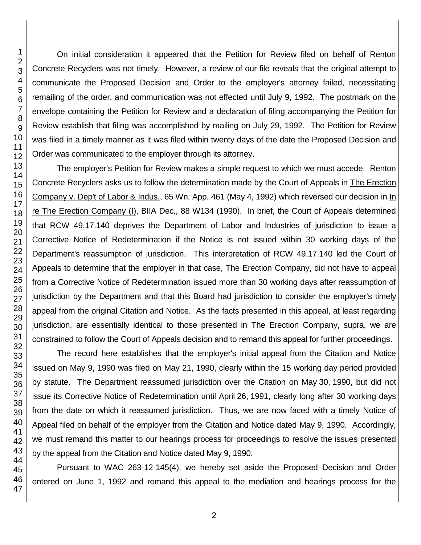On initial consideration it appeared that the Petition for Review filed on behalf of Renton Concrete Recyclers was not timely. However, a review of our file reveals that the original attempt to communicate the Proposed Decision and Order to the employer's attorney failed, necessitating remailing of the order, and communication was not effected until July 9, 1992. The postmark on the envelope containing the Petition for Review and a declaration of filing accompanying the Petition for Review establish that filing was accomplished by mailing on July 29, 1992. The Petition for Review was filed in a timely manner as it was filed within twenty days of the date the Proposed Decision and Order was communicated to the employer through its attorney.

The employer's Petition for Review makes a simple request to which we must accede. Renton Concrete Recyclers asks us to follow the determination made by the Court of Appeals in The Erection Company v. Dep't of Labor & Indus., 65 Wn. App. 461 (May 4, 1992) which reversed our decision in In re The Erection Company (I), BIIA Dec., 88 W134 (1990). In brief, the Court of Appeals determined that RCW 49.17.140 deprives the Department of Labor and Industries of jurisdiction to issue a Corrective Notice of Redetermination if the Notice is not issued within 30 working days of the Department's reassumption of jurisdiction. This interpretation of RCW 49.17.140 led the Court of Appeals to determine that the employer in that case, The Erection Company, did not have to appeal from a Corrective Notice of Redetermination issued more than 30 working days after reassumption of jurisdiction by the Department and that this Board had jurisdiction to consider the employer's timely appeal from the original Citation and Notice. As the facts presented in this appeal, at least regarding jurisdiction, are essentially identical to those presented in The Erection Company, supra, we are constrained to follow the Court of Appeals decision and to remand this appeal for further proceedings.

The record here establishes that the employer's initial appeal from the Citation and Notice issued on May 9, 1990 was filed on May 21, 1990, clearly within the 15 working day period provided by statute. The Department reassumed jurisdiction over the Citation on May 30, 1990, but did not issue its Corrective Notice of Redetermination until April 26, 1991, clearly long after 30 working days from the date on which it reassumed jurisdiction. Thus, we are now faced with a timely Notice of Appeal filed on behalf of the employer from the Citation and Notice dated May 9, 1990. Accordingly, we must remand this matter to our hearings process for proceedings to resolve the issues presented by the appeal from the Citation and Notice dated May 9, 1990.

Pursuant to WAC 263-12-145(4), we hereby set aside the Proposed Decision and Order entered on June 1, 1992 and remand this appeal to the mediation and hearings process for the